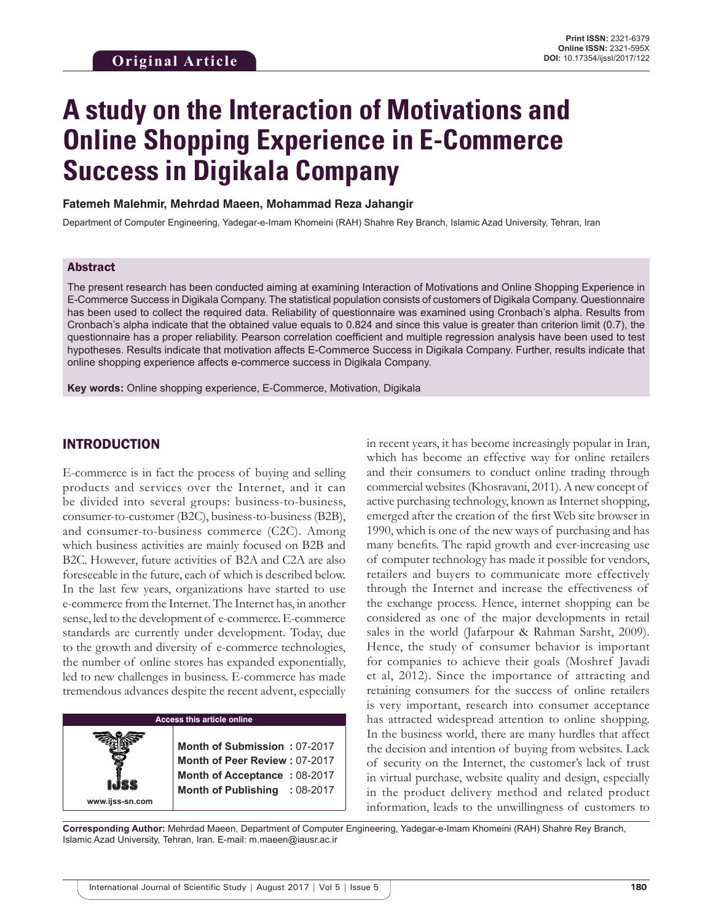# **A study on the Interaction of Motivations and Online Shopping Experience in E-Commerce Success in Digikala Company**

#### **Fatemeh Malehmir, Mehrdad Maeen, Mohammad Reza Jahangir**

Department of Computer Engineering, Yadegar-e-Imam Khomeini (RAH) Shahre Rey Branch, Islamic Azad University, Tehran, Iran

#### Abstract

The present research has been conducted aiming at examining Interaction of Motivations and Online Shopping Experience in E-Commerce Success in Digikala Company. The statistical population consists of customers of Digikala Company. Questionnaire has been used to collect the required data. Reliability of questionnaire was examined using Cronbach's alpha. Results from Cronbach's alpha indicate that the obtained value equals to 0.824 and since this value is greater than criterion limit (0.7), the questionnaire has a proper reliability. Pearson correlation coefficient and multiple regression analysis have been used to test hypotheses. Results indicate that motivation affects E-Commerce Success in Digikala Company. Further, results indicate that online shopping experience affects e-commerce success in Digikala Company.

**Key words:** Online shopping experience, E-Commerce, Motivation, Digikala

## INTRODUCTION

**www.ijss-sn.com**

E-commerce is in fact the process of buying and selling products and services over the Internet, and it can be divided into several groups: business-to-business, consumer-to-customer (B2C), business-to-business (B2B), and consumer-to-business commerce (C2C). Among which business activities are mainly focused on B2B and B2C. However, future activities of B2A and C2A are also foreseeable in the future, each of which is described below. In the last few years, organizations have started to use e-commerce from the Internet. The Internet has, in another sense, led to the development of e-commerce. E-commerce standards are currently under development. Today, due to the growth and diversity of e-commerce technologies, the number of online stores has expanded exponentially, led to new challenges in business. E-commerce has made tremendous advances despite the recent advent, especially

#### **Access this article online**

**Month of Submission :** 07-2017 **Month of Peer Review :** 07-2017 **Month of Acceptance :** 08-2017 **Month of Publishing :** 08-2017

in recent years, it has become increasingly popular in Iran, which has become an effective way for online retailers and their consumers to conduct online trading through commercial websites (Khosravani, 2011). A new concept of active purchasing technology, known as Internet shopping, emerged after the creation of the first Web site browser in 1990, which is one of the new ways of purchasing and has many benefits. The rapid growth and ever-increasing use of computer technology has made it possible for vendors, retailers and buyers to communicate more effectively through the Internet and increase the effectiveness of the exchange process. Hence, internet shopping can be considered as one of the major developments in retail sales in the world (Jafarpour & Rahman Sarsht, 2009). Hence, the study of consumer behavior is important for companies to achieve their goals (Moshref Javadi et al, 2012). Since the importance of attracting and retaining consumers for the success of online retailers is very important, research into consumer acceptance has attracted widespread attention to online shopping. In the business world, there are many hurdles that affect the decision and intention of buying from websites. Lack of security on the Internet, the customer's lack of trust in virtual purchase, website quality and design, especially in the product delivery method and related product information, leads to the unwillingness of customers to

**Corresponding Author:** Mehrdad Maeen, Department of Computer Engineering, Yadegar-e-Imam Khomeini (RAH) Shahre Rey Branch, Islamic Azad University, Tehran, Iran. E-mail: m.maeen@iausr.ac.ir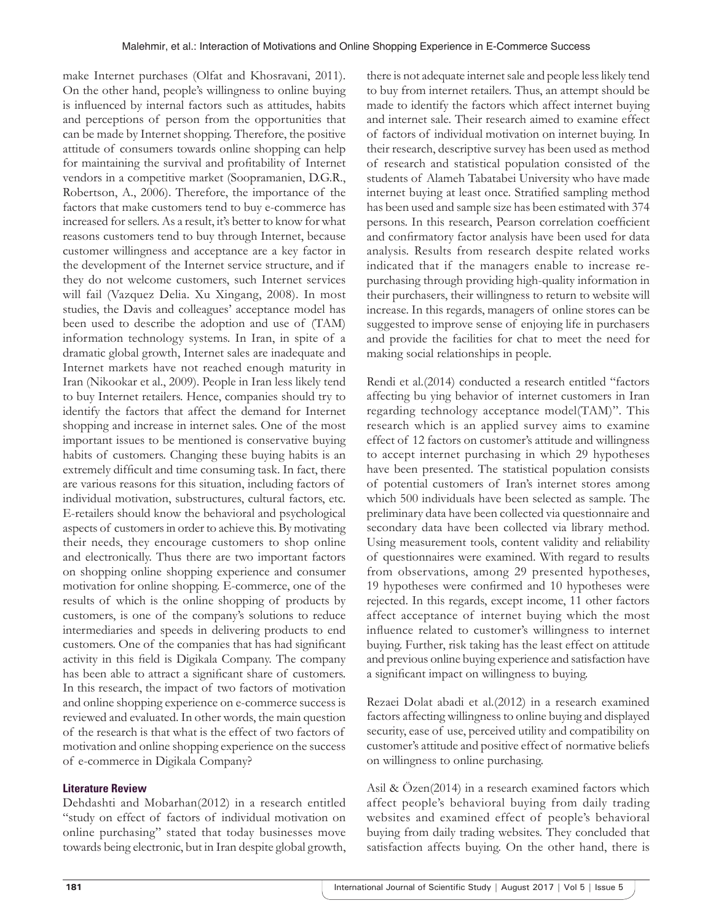make Internet purchases (Olfat and Khosravani, 2011). On the other hand, people's willingness to online buying is influenced by internal factors such as attitudes, habits and perceptions of person from the opportunities that can be made by Internet shopping. Therefore, the positive attitude of consumers towards online shopping can help for maintaining the survival and profitability of Internet vendors in a competitive market (Soopramanien, D.G.R., Robertson, A., 2006). Therefore, the importance of the factors that make customers tend to buy e-commerce has increased for sellers. As a result, it's better to know for what reasons customers tend to buy through Internet, because customer willingness and acceptance are a key factor in the development of the Internet service structure, and if they do not welcome customers, such Internet services will fail (Vazquez Delia. Xu Xingang, 2008). In most studies, the Davis and colleagues' acceptance model has been used to describe the adoption and use of (TAM) information technology systems. In Iran, in spite of a dramatic global growth, Internet sales are inadequate and Internet markets have not reached enough maturity in Iran (Nikookar et al., 2009). People in Iran less likely tend to buy Internet retailers. Hence, companies should try to identify the factors that affect the demand for Internet shopping and increase in internet sales. One of the most important issues to be mentioned is conservative buying habits of customers. Changing these buying habits is an extremely difficult and time consuming task. In fact, there are various reasons for this situation, including factors of individual motivation, substructures, cultural factors, etc. E-retailers should know the behavioral and psychological aspects of customers in order to achieve this. By motivating their needs, they encourage customers to shop online and electronically. Thus there are two important factors on shopping online shopping experience and consumer motivation for online shopping. E-commerce, one of the results of which is the online shopping of products by customers, is one of the company's solutions to reduce intermediaries and speeds in delivering products to end customers. One of the companies that has had significant activity in this field is Digikala Company. The company has been able to attract a significant share of customers. In this research, the impact of two factors of motivation and online shopping experience on e-commerce success is reviewed and evaluated. In other words, the main question of the research is that what is the effect of two factors of motivation and online shopping experience on the success of e-commerce in Digikala Company?

#### **Literature Review**

Dehdashti and Mobarhan(2012) in a research entitled "study on effect of factors of individual motivation on online purchasing" stated that today businesses move towards being electronic, but in Iran despite global growth, there is not adequate internet sale and people less likely tend to buy from internet retailers. Thus, an attempt should be made to identify the factors which affect internet buying and internet sale. Their research aimed to examine effect of factors of individual motivation on internet buying. In their research, descriptive survey has been used as method of research and statistical population consisted of the students of Alameh Tabatabei University who have made internet buying at least once. Stratified sampling method has been used and sample size has been estimated with 374 persons. In this research, Pearson correlation coefficient and confirmatory factor analysis have been used for data analysis. Results from research despite related works indicated that if the managers enable to increase repurchasing through providing high-quality information in their purchasers, their willingness to return to website will increase. In this regards, managers of online stores can be suggested to improve sense of enjoying life in purchasers and provide the facilities for chat to meet the need for making social relationships in people.

Rendi et al.(2014) conducted a research entitled "factors affecting bu ying behavior of internet customers in Iran regarding technology acceptance model(TAM)". This research which is an applied survey aims to examine effect of 12 factors on customer's attitude and willingness to accept internet purchasing in which 29 hypotheses have been presented. The statistical population consists of potential customers of Iran's internet stores among which 500 individuals have been selected as sample. The preliminary data have been collected via questionnaire and secondary data have been collected via library method. Using measurement tools, content validity and reliability of questionnaires were examined. With regard to results from observations, among 29 presented hypotheses, 19 hypotheses were confirmed and 10 hypotheses were rejected. In this regards, except income, 11 other factors affect acceptance of internet buying which the most influence related to customer's willingness to internet buying. Further, risk taking has the least effect on attitude and previous online buying experience and satisfaction have a significant impact on willingness to buying.

Rezaei Dolat abadi et al.(2012) in a research examined factors affecting willingness to online buying and displayed security, ease of use, perceived utility and compatibility on customer's attitude and positive effect of normative beliefs on willingness to online purchasing.

Asil & Özen(2014) in a research examined factors which affect people's behavioral buying from daily trading websites and examined effect of people's behavioral buying from daily trading websites. They concluded that satisfaction affects buying. On the other hand, there is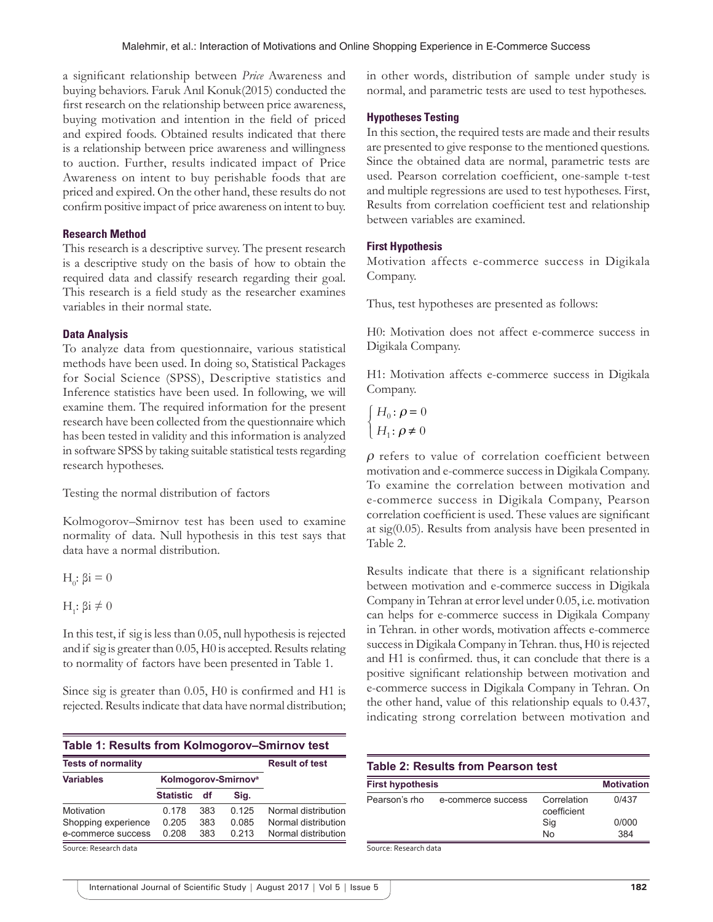a significant relationship between *Price* Awareness and buying behaviors. Faruk Anıl Konuk(2015) conducted the first research on the relationship between price awareness, buying motivation and intention in the field of priced and expired foods. Obtained results indicated that there is a relationship between price awareness and willingness to auction. Further, results indicated impact of Price Awareness on intent to buy perishable foods that are priced and expired. On the other hand, these results do not confirm positive impact of price awareness on intent to buy.

### **Research Method**

This research is a descriptive survey. The present research is a descriptive study on the basis of how to obtain the required data and classify research regarding their goal. This research is a field study as the researcher examines variables in their normal state.

#### **Data Analysis**

To analyze data from questionnaire, various statistical methods have been used. In doing so, Statistical Packages for Social Science (SPSS), Descriptive statistics and Inference statistics have been used. In following, we will examine them. The required information for the present research have been collected from the questionnaire which has been tested in validity and this information is analyzed in software SPSS by taking suitable statistical tests regarding research hypotheses.

Testing the normal distribution of factors

Kolmogorov–Smirnov test has been used to examine normality of data. Null hypothesis in this test says that data have a normal distribution.

 $H<sub>0</sub>: βi = 0$ 

H<sub>1</sub>: βi  $\neq$  0

In this test, if sig is less than 0.05, null hypothesis is rejected and if sig is greater than 0.05, H0 is accepted. Results relating to normality of factors have been presented in Table 1.

Since sig is greater than 0.05, H0 is confirmed and H1 is rejected. Results indicate that data have normal distribution;

|                                 |     |       | <b>Result of test</b> |
|---------------------------------|-----|-------|-----------------------|
| Kolmogorov-Smirnov <sup>a</sup> |     |       |                       |
| <b>Statistic</b>                | df  | Sig.  |                       |
| 0 178                           | 383 | 0.125 | Normal distribution   |
| 0.205                           | 383 | 0.085 | Normal distribution   |
| 0.208                           | 383 | 0.213 | Normal distribution   |
|                                 |     |       |                       |

in other words, distribution of sample under study is normal, and parametric tests are used to test hypotheses.

### **Hypotheses Testing**

In this section, the required tests are made and their results are presented to give response to the mentioned questions. Since the obtained data are normal, parametric tests are used. Pearson correlation coefficient, one-sample t-test and multiple regressions are used to test hypotheses. First, Results from correlation coefficient test and relationship between variables are examined.

#### **First Hypothesis**

Motivation affects e-commerce success in Digikala Company.

Thus, test hypotheses are presented as follows:

H0: Motivation does not affect e-commerce success in Digikala Company.

H1: Motivation affects e-commerce success in Digikala Company.

$$
\left\{ \begin{aligned} H_0 &\colon \rho = 0 \\ H_1 &\colon \rho \neq 0 \end{aligned} \right.
$$

 $\rho$  refers to value of correlation coefficient between motivation and e-commerce success in Digikala Company. To examine the correlation between motivation and e-commerce success in Digikala Company, Pearson correlation coefficient is used. These values are significant at sig(0.05). Results from analysis have been presented in Table 2.

Results indicate that there is a significant relationship between motivation and e-commerce success in Digikala Company in Tehran at error level under 0.05, i.e. motivation can helps for e-commerce success in Digikala Company in Tehran. in other words, motivation affects e-commerce success in Digikala Company in Tehran. thus, H0 is rejected and H1 is confirmed. thus, it can conclude that there is a positive significant relationship between motivation and e-commerce success in Digikala Company in Tehran. On the other hand, value of this relationship equals to 0.437, indicating strong correlation between motivation and

| Table 2: Results from Pearson test |                    |                            |                   |  |
|------------------------------------|--------------------|----------------------------|-------------------|--|
| <b>First hypothesis</b>            |                    |                            | <b>Motivation</b> |  |
| Pearson's rho                      | e-commerce success | Correlation<br>coefficient | 0/437             |  |
|                                    |                    | Sig                        | 0/000             |  |
|                                    |                    | No                         | 384               |  |

Source: Research data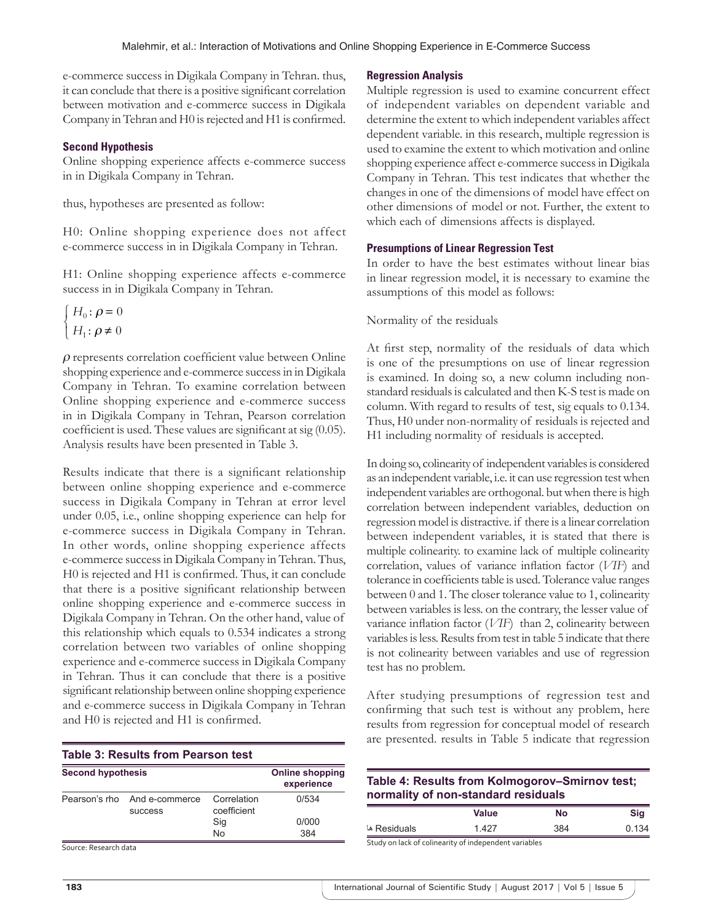e-commerce success in Digikala Company in Tehran. thus, it can conclude that there is a positive significant correlation between motivation and e-commerce success in Digikala Company in Tehran and H0 is rejected and H1 is confirmed.

### **Second Hypothesis**

Online shopping experience affects e-commerce success in in Digikala Company in Tehran.

thus, hypotheses are presented as follow:

H0: Online shopping experience does not affect e-commerce success in in Digikala Company in Tehran.

H1: Online shopping experience affects e-commerce success in in Digikala Company in Tehran.

$$
\left\{ \begin{aligned} H_0 &\colon \rho = 0 \\ H_1 &\colon \rho \neq 0 \end{aligned} \right.
$$

 $\rho$  represents correlation coefficient value between Online shopping experience and e-commerce success in in Digikala Company in Tehran. To examine correlation between Online shopping experience and e-commerce success in in Digikala Company in Tehran, Pearson correlation coefficient is used. These values are significant at sig (0.05). Analysis results have been presented in Table 3.

Results indicate that there is a significant relationship between online shopping experience and e-commerce success in Digikala Company in Tehran at error level under 0.05, i.e., online shopping experience can help for e-commerce success in Digikala Company in Tehran. In other words, online shopping experience affects e-commerce success in Digikala Company in Tehran. Thus, H0 is rejected and H1 is confirmed. Thus, it can conclude that there is a positive significant relationship between online shopping experience and e-commerce success in Digikala Company in Tehran. On the other hand, value of this relationship which equals to 0.534 indicates a strong correlation between two variables of online shopping experience and e-commerce success in Digikala Company in Tehran. Thus it can conclude that there is a positive significant relationship between online shopping experience and e-commerce success in Digikala Company in Tehran and H0 is rejected and H1 is confirmed.

| Table 3: Results from Pearson test |                                                |                            |       |  |  |
|------------------------------------|------------------------------------------------|----------------------------|-------|--|--|
| <b>Second hypothesis</b>           | <b>Online shopping</b><br>experience           |                            |       |  |  |
|                                    | Pearson's rho And e-commerce<br><b>SUCCESS</b> | Correlation<br>coefficient | 0/534 |  |  |
|                                    |                                                | Sig                        | 0/000 |  |  |
|                                    |                                                | <b>No</b>                  | 384   |  |  |

Source: Research data

#### **Regression Analysis**

Multiple regression is used to examine concurrent effect of independent variables on dependent variable and determine the extent to which independent variables affect dependent variable. in this research, multiple regression is used to examine the extent to which motivation and online shopping experience affect e-commerce success in Digikala Company in Tehran. This test indicates that whether the changes in one of the dimensions of model have effect on other dimensions of model or not. Further, the extent to which each of dimensions affects is displayed.

#### **Presumptions of Linear Regression Test**

In order to have the best estimates without linear bias in linear regression model, it is necessary to examine the assumptions of this model as follows:

#### Normality of the residuals

At first step, normality of the residuals of data which is one of the presumptions on use of linear regression is examined. In doing so, a new column including nonstandard residuals is calculated and then K-S test is made on column. With regard to results of test, sig equals to 0.134. Thus, H0 under non-normality of residuals is rejected and H1 including normality of residuals is accepted.

In doing so, colinearity of independent variables is considered as an independent variable, i.e. it can use regression test when independent variables are orthogonal. but when there is high correlation between independent variables, deduction on regression model is distractive. if there is a linear correlation between independent variables, it is stated that there is multiple colinearity. to examine lack of multiple colinearity correlation, values of variance inflation factor (*VIF*) and tolerance in coefficients table is used. Tolerance value ranges between 0 and 1. The closer tolerance value to 1, colinearity between variables is less. on the contrary, the lesser value of variance inflation factor (*VIF*) than 2, colinearity between variables is less. Results from test in table 5 indicate that there is not colinearity between variables and use of regression test has no problem.

After studying presumptions of regression test and confirming that such test is without any problem, here results from regression for conceptual model of research are presented. results in Table 5 indicate that regression

## **Table 4: Results from Kolmogorov–Smirnov test; normality of non‑standard residuals**

|              | Value | No  | Sig   |
|--------------|-------|-----|-------|
| Residuals ها | 1 427 | 384 | 0.134 |
| .            |       |     |       |

Study on lack of colinearity of independent variables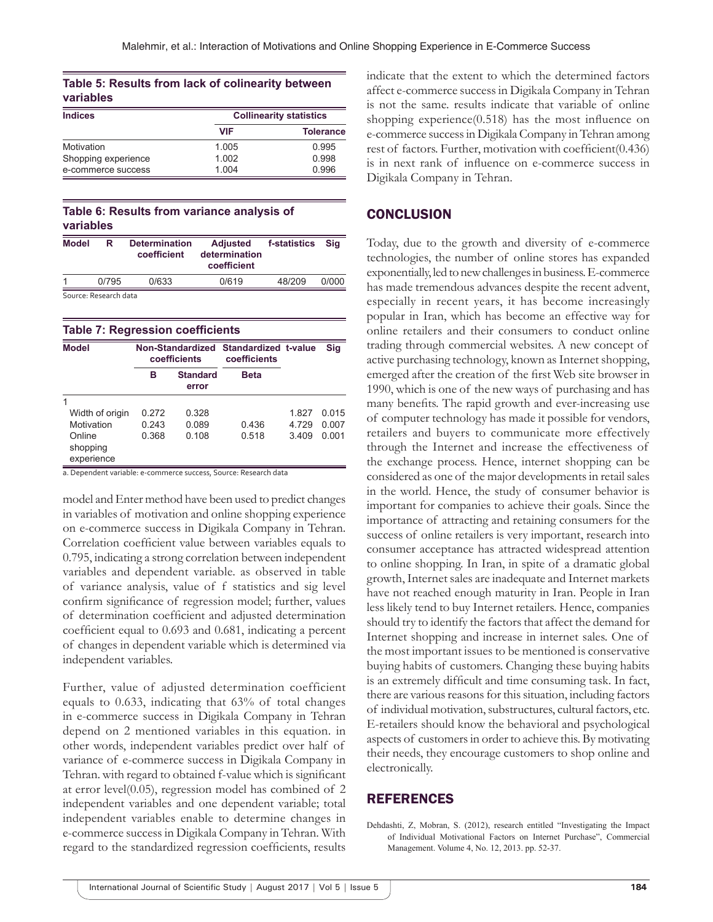|           | Table 5: Results from lack of colinearity between |  |
|-----------|---------------------------------------------------|--|
| variables |                                                   |  |

| <b>Indices</b>      | <b>Collinearity statistics</b> |                  |  |
|---------------------|--------------------------------|------------------|--|
|                     | <b>VIF</b>                     | <b>Tolerance</b> |  |
| Motivation          | 1.005                          | 0.995            |  |
| Shopping experience | 1.002                          | 0.998            |  |
| e-commerce success  | 1.004                          | 0.996            |  |

## **Table 6: Results from variance analysis of variables**

| <b>Model</b> | R                     | <b>Determination</b><br>coefficient | <b>Adjusted</b><br>determination<br>coefficient | f-statistics | Sia   |
|--------------|-----------------------|-------------------------------------|-------------------------------------------------|--------------|-------|
| 1            | 0/795                 | 0/633                               | 0/619                                           | 48/209       | 0/000 |
|              | Source: Research data |                                     |                                                 |              |       |

**Table 7: Regression coefficients Model Non-Standardized Standardized t-value Sig coefficients coefficients B Standard error Beta** 1 Width of origin 0.272 0.328 1.827 0.015 Motivation 0.243 0.089 0.436 4.729 0.007 Online shopping experience 0.368 0.108 0.518 3.409 0.001

a. Dependent variable: e‑commerce success, Source: Research data

model and Enter method have been used to predict changes in variables of motivation and online shopping experience on e-commerce success in Digikala Company in Tehran. Correlation coefficient value between variables equals to 0.795, indicating a strong correlation between independent variables and dependent variable. as observed in table of variance analysis, value of f statistics and sig level confirm significance of regression model; further, values of determination coefficient and adjusted determination coefficient equal to 0.693 and 0.681, indicating a percent of changes in dependent variable which is determined via independent variables.

Further, value of adjusted determination coefficient equals to 0.633, indicating that 63% of total changes in e-commerce success in Digikala Company in Tehran depend on 2 mentioned variables in this equation. in other words, independent variables predict over half of variance of e-commerce success in Digikala Company in Tehran. with regard to obtained f-value which is significant at error level(0.05), regression model has combined of 2 independent variables and one dependent variable; total independent variables enable to determine changes in e-commerce success in Digikala Company in Tehran. With regard to the standardized regression coefficients, results

indicate that the extent to which the determined factors affect e-commerce success in Digikala Company in Tehran is not the same. results indicate that variable of online shopping experience(0.518) has the most influence on e-commerce success in Digikala Company in Tehran among rest of factors. Further, motivation with coefficient(0.436) is in next rank of influence on e-commerce success in Digikala Company in Tehran.

# **CONCLUSION**

Today, due to the growth and diversity of e-commerce technologies, the number of online stores has expanded exponentially, led to new challenges in business. E-commerce has made tremendous advances despite the recent advent, especially in recent years, it has become increasingly popular in Iran, which has become an effective way for online retailers and their consumers to conduct online trading through commercial websites. A new concept of active purchasing technology, known as Internet shopping, emerged after the creation of the first Web site browser in 1990, which is one of the new ways of purchasing and has many benefits. The rapid growth and ever-increasing use of computer technology has made it possible for vendors, retailers and buyers to communicate more effectively through the Internet and increase the effectiveness of the exchange process. Hence, internet shopping can be considered as one of the major developments in retail sales in the world. Hence, the study of consumer behavior is important for companies to achieve their goals. Since the importance of attracting and retaining consumers for the success of online retailers is very important, research into consumer acceptance has attracted widespread attention to online shopping. In Iran, in spite of a dramatic global growth, Internet sales are inadequate and Internet markets have not reached enough maturity in Iran. People in Iran less likely tend to buy Internet retailers. Hence, companies should try to identify the factors that affect the demand for Internet shopping and increase in internet sales. One of the most important issues to be mentioned is conservative buying habits of customers. Changing these buying habits is an extremely difficult and time consuming task. In fact, there are various reasons for this situation, including factors of individual motivation, substructures, cultural factors, etc. E-retailers should know the behavioral and psychological aspects of customers in order to achieve this. By motivating their needs, they encourage customers to shop online and electronically.

# REFERENCES

Dehdashti, Z, Mobran, S. (2012), research entitled "Investigating the Impact of Individual Motivational Factors on Internet Purchase", Commercial Management. Volume 4, No. 12, 2013. pp. 52-37.